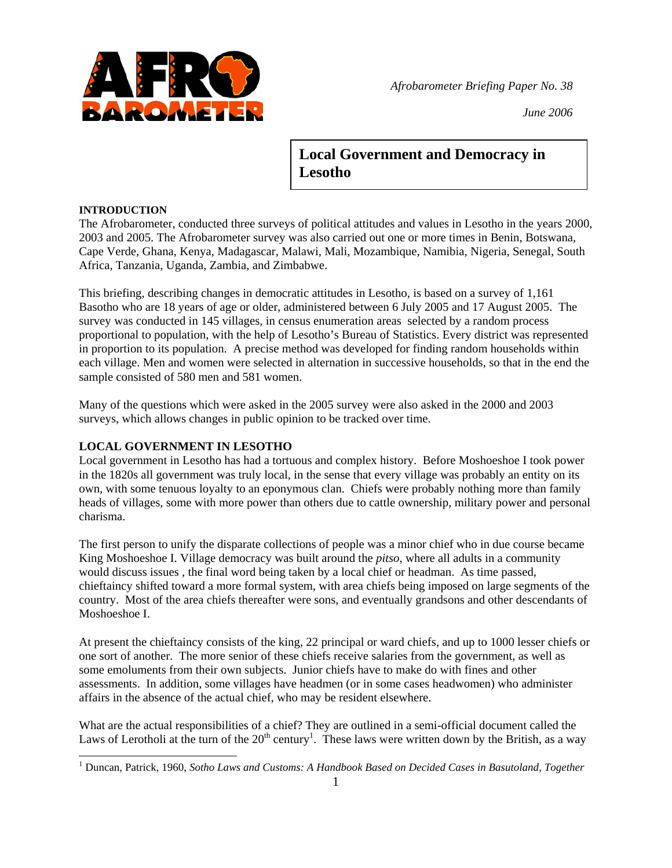

*June 2006*

# **Local Government and Democracy in Lesotho**

# **INTRODUCTION**

The Afrobarometer, conducted three surveys of political attitudes and values in Lesotho in the years 2000, 2003 and 2005. The Afrobarometer survey was also carried out one or more times in Benin, Botswana, Cape Verde, Ghana, Kenya, Madagascar, Malawi, Mali, Mozambique, Namibia, Nigeria, Senegal, South Africa, Tanzania, Uganda, Zambia, and Zimbabwe.

This briefing, describing changes in democratic attitudes in Lesotho, is based on a survey of 1,161 Basotho who are 18 years of age or older, administered between 6 July 2005 and 17 August 2005. The survey was conducted in 145 villages, in census enumeration areas selected by a random process proportional to population, with the help of Lesotho's Bureau of Statistics. Every district was represented in proportion to its population. A precise method was developed for finding random households within each village. Men and women were selected in alternation in successive households, so that in the end the sample consisted of 580 men and 581 women.

Many of the questions which were asked in the 2005 survey were also asked in the 2000 and 2003 surveys, which allows changes in public opinion to be tracked over time.

# **LOCAL GOVERNMENT IN LESOTHO**

Local government in Lesotho has had a tortuous and complex history. Before Moshoeshoe I took power in the 1820s all government was truly local, in the sense that every village was probably an entity on its own, with some tenuous loyalty to an eponymous clan. Chiefs were probably nothing more than family heads of villages, some with more power than others due to cattle ownership, military power and personal charisma.

The first person to unify the disparate collections of people was a minor chief who in due course became King Moshoeshoe I. Village democracy was built around the *pitso*, where all adults in a community would discuss issues , the final word being taken by a local chief or headman. As time passed, chieftaincy shifted toward a more formal system, with area chiefs being imposed on large segments of the country. Most of the area chiefs thereafter were sons, and eventually grandsons and other descendants of Moshoeshoe I.

At present the chieftaincy consists of the king, 22 principal or ward chiefs, and up to 1000 lesser chiefs or one sort of another. The more senior of these chiefs receive salaries from the government, as well as some emoluments from their own subjects. Junior chiefs have to make do with fines and other assessments. In addition, some villages have headmen (or in some cases headwomen) who administer affairs in the absence of the actual chief, who may be resident elsewhere.

What are the actual responsibilities of a chief? They are outlined in a semi-official document called the Laws of Lerotholi at the turn of the  $20<sup>th</sup>$  century<sup>1</sup>. These laws were written down by the British, as a way

<sup>&</sup>lt;sup>1</sup><br><sup>1</sup> Duncan, Patrick, 1960, *Sotho Laws and Customs: A Handbook Based on Decided Cases in Basutoland, Together*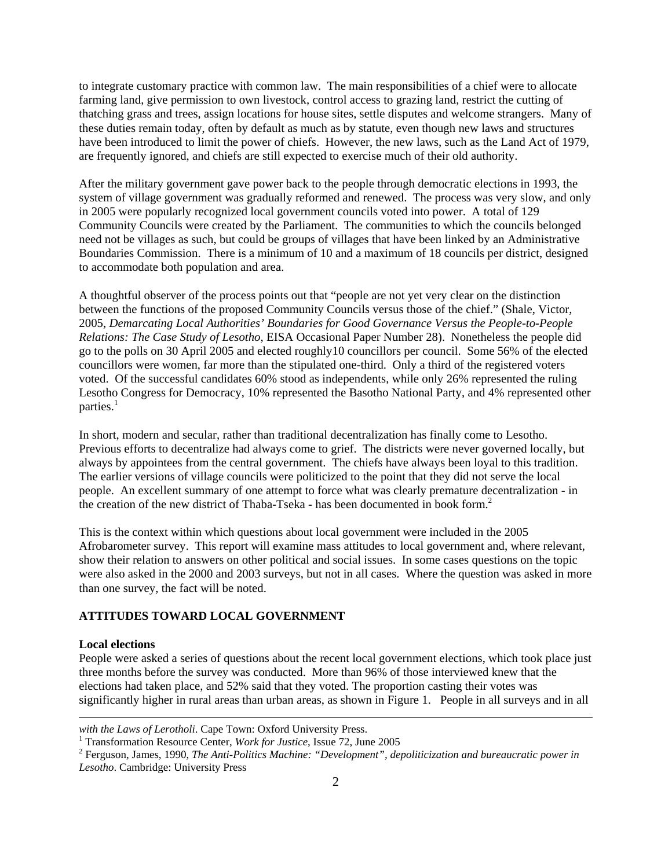to integrate customary practice with common law. The main responsibilities of a chief were to allocate farming land, give permission to own livestock, control access to grazing land, restrict the cutting of thatching grass and trees, assign locations for house sites, settle disputes and welcome strangers. Many of these duties remain today, often by default as much as by statute, even though new laws and structures have been introduced to limit the power of chiefs. However, the new laws, such as the Land Act of 1979, are frequently ignored, and chiefs are still expected to exercise much of their old authority.

After the military government gave power back to the people through democratic elections in 1993, the system of village government was gradually reformed and renewed. The process was very slow, and only in 2005 were popularly recognized local government councils voted into power. A total of 129 Community Councils were created by the Parliament. The communities to which the councils belonged need not be villages as such, but could be groups of villages that have been linked by an Administrative Boundaries Commission. There is a minimum of 10 and a maximum of 18 councils per district, designed to accommodate both population and area.

A thoughtful observer of the process points out that "people are not yet very clear on the distinction between the functions of the proposed Community Councils versus those of the chief." (Shale, Victor, 2005, *Demarcating Local Authorities' Boundaries for Good Governance Versus the People-to-People Relations: The Case Study of Lesotho*, EISA Occasional Paper Number 28). Nonetheless the people did go to the polls on 30 April 2005 and elected roughly10 councillors per council. Some 56% of the elected councillors were women, far more than the stipulated one-third. Only a third of the registered voters voted. Of the successful candidates 60% stood as independents, while only 26% represented the ruling Lesotho Congress for Democracy, 10% represented the Basotho National Party, and 4% represented other parties.<sup>1</sup>

In short, modern and secular, rather than traditional decentralization has finally come to Lesotho. Previous efforts to decentralize had always come to grief. The districts were never governed locally, but always by appointees from the central government. The chiefs have always been loyal to this tradition. The earlier versions of village councils were politicized to the point that they did not serve the local people. An excellent summary of one attempt to force what was clearly premature decentralization - in the creation of the new district of Thaba-Tseka - has been documented in book form.2

This is the context within which questions about local government were included in the 2005 Afrobarometer survey. This report will examine mass attitudes to local government and, where relevant, show their relation to answers on other political and social issues. In some cases questions on the topic were also asked in the 2000 and 2003 surveys, but not in all cases. Where the question was asked in more than one survey, the fact will be noted.

# **ATTITUDES TOWARD LOCAL GOVERNMENT**

#### **Local elections**

 $\overline{a}$ 

People were asked a series of questions about the recent local government elections, which took place just three months before the survey was conducted. More than 96% of those interviewed knew that the elections had taken place, and 52% said that they voted. The proportion casting their votes was significantly higher in rural areas than urban areas, as shown in Figure 1. People in all surveys and in all

with the Laws of Lerotholi. Cape Town: Oxford University Press.

<sup>&</sup>lt;sup>1</sup> Transformation Resource Center, *Work for Justice*, Issue 72, June 2005

Ferguson, James, 1990, *The Anti-Politics Machine: "Development", depoliticization and bureaucratic power in Lesotho*. Cambridge: University Press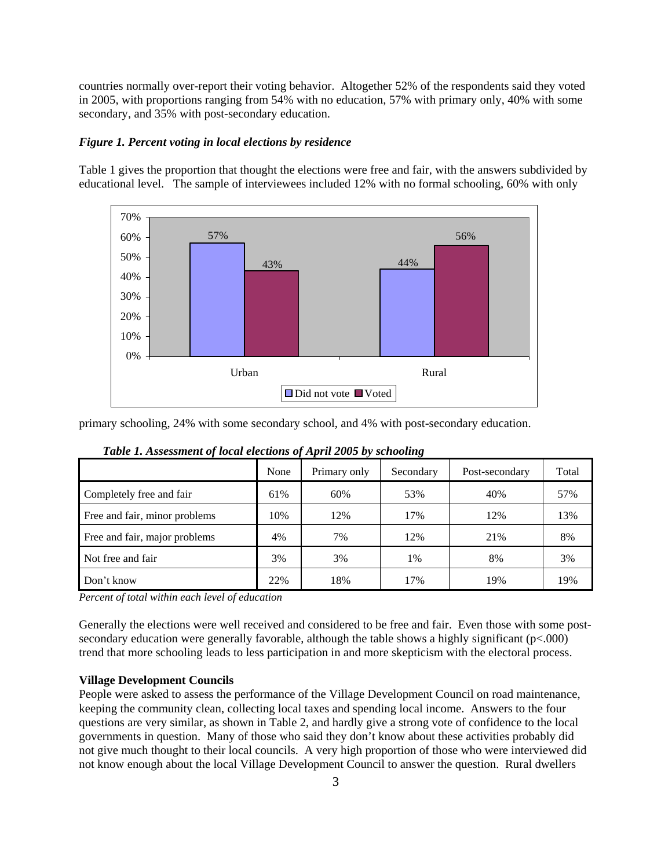countries normally over-report their voting behavior. Altogether 52% of the respondents said they voted in 2005, with proportions ranging from 54% with no education, 57% with primary only, 40% with some secondary, and 35% with post-secondary education.

#### *Figure 1. Percent voting in local elections by residence*

Table 1 gives the proportion that thought the elections were free and fair, with the answers subdivided by educational level. The sample of interviewees included 12% with no formal schooling, 60% with only



primary schooling, 24% with some secondary school, and 4% with post-secondary education.

|                               | None | Primary only | Secondary | Post-secondary | Total |
|-------------------------------|------|--------------|-----------|----------------|-------|
| Completely free and fair      | 61%  | 60%          | 53%       | 40%            | 57%   |
| Free and fair, minor problems | 10%  | 12%          | 17%       | 12%            | 13%   |
| Free and fair, major problems | 4%   | 7%           | 12%       | 21%            | 8%    |
| Not free and fair             | 3%   | 3%           | 1%        | 8%             | 3%    |
| Don't know                    | 22%  | 18%          | 17%       | 19%            | 19%   |

*Table 1. Assessment of local elections of April 2005 by schooling* 

*Percent of total within each level of education* 

Generally the elections were well received and considered to be free and fair. Even those with some postsecondary education were generally favorable, although the table shows a highly significant (p<.000) trend that more schooling leads to less participation in and more skepticism with the electoral process.

# **Village Development Councils**

People were asked to assess the performance of the Village Development Council on road maintenance, keeping the community clean, collecting local taxes and spending local income. Answers to the four questions are very similar, as shown in Table 2, and hardly give a strong vote of confidence to the local governments in question. Many of those who said they don't know about these activities probably did not give much thought to their local councils. A very high proportion of those who were interviewed did not know enough about the local Village Development Council to answer the question. Rural dwellers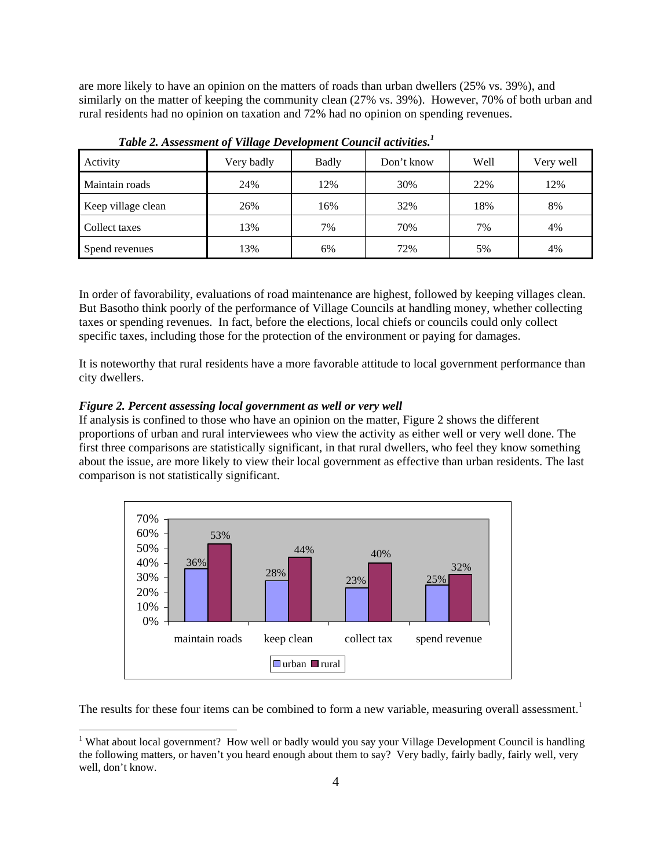are more likely to have an opinion on the matters of roads than urban dwellers (25% vs. 39%), and similarly on the matter of keeping the community clean (27% vs. 39%). However, 70% of both urban and rural residents had no opinion on taxation and 72% had no opinion on spending revenues.

| Activity           | Very badly | Badly | Don't know | Well | Very well |
|--------------------|------------|-------|------------|------|-----------|
| Maintain roads     | 24%        | 12%   | 30%        | 22%  | 12%       |
| Keep village clean | 26%        | 16%   | 32%        | 18%  | 8%        |
| Collect taxes      | 13%        | 7%    | 70%        | 7%   | 4%        |
| Spend revenues     | 13%        | 6%    | 72%        | 5%   | 4%        |

*Table 2. Assessment of Village Development Council activities.1*

In order of favorability, evaluations of road maintenance are highest, followed by keeping villages clean. But Basotho think poorly of the performance of Village Councils at handling money, whether collecting taxes or spending revenues. In fact, before the elections, local chiefs or councils could only collect specific taxes, including those for the protection of the environment or paying for damages.

It is noteworthy that rural residents have a more favorable attitude to local government performance than city dwellers.

### *Figure 2. Percent assessing local government as well or very well*

 $\overline{a}$ 

If analysis is confined to those who have an opinion on the matter, Figure 2 shows the different proportions of urban and rural interviewees who view the activity as either well or very well done. The first three comparisons are statistically significant, in that rural dwellers, who feel they know something about the issue, are more likely to view their local government as effective than urban residents. The last comparison is not statistically significant.



The results for these four items can be combined to form a new variable, measuring overall assessment.<sup>1</sup>

<sup>&</sup>lt;sup>1</sup> What about local government? How well or badly would you say your Village Development Council is handling the following matters, or haven't you heard enough about them to say? Very badly, fairly badly, fairly well, very well, don't know.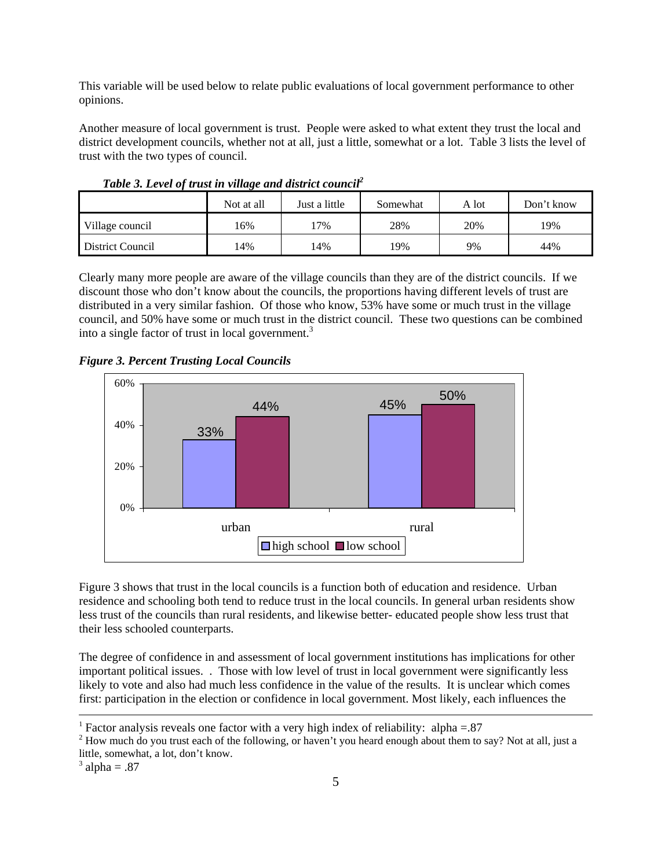This variable will be used below to relate public evaluations of local government performance to other opinions.

Another measure of local government is trust. People were asked to what extent they trust the local and district development councils, whether not at all, just a little, somewhat or a lot. Table 3 lists the level of trust with the two types of council.

|                  | Not at all | Just a little | Somewhat | A lot | Don't know |
|------------------|------------|---------------|----------|-------|------------|
| Village council  | 6%         | $17\%$        | 28%      | 20%   | 19%        |
| District Council | 14%        | 14%           | 19%      | 9%    | 44%        |

*Table 3. Level of trust in village and district council2*

Clearly many more people are aware of the village councils than they are of the district councils. If we discount those who don't know about the councils, the proportions having different levels of trust are distributed in a very similar fashion. Of those who know, 53% have some or much trust in the village council, and 50% have some or much trust in the district council. These two questions can be combined into a single factor of trust in local government.<sup>3</sup>

*Figure 3. Percent Trusting Local Councils*



Figure 3 shows that trust in the local councils is a function both of education and residence. Urban residence and schooling both tend to reduce trust in the local councils. In general urban residents show less trust of the councils than rural residents, and likewise better- educated people show less trust that their less schooled counterparts.

The degree of confidence in and assessment of local government institutions has implications for other important political issues. . Those with low level of trust in local government were significantly less likely to vote and also had much less confidence in the value of the results. It is unclear which comes first: participation in the election or confidence in local government. Most likely, each influences the

<sup>&</sup>lt;sup>1</sup> Factor analysis reveals one factor with a very high index of reliability: alpha =  $.87$ 

 $2$  How much do you trust each of the following, or haven't you heard enough about them to say? Not at all, just a little, somewhat, a lot, don't know.

 $3$  alpha = .87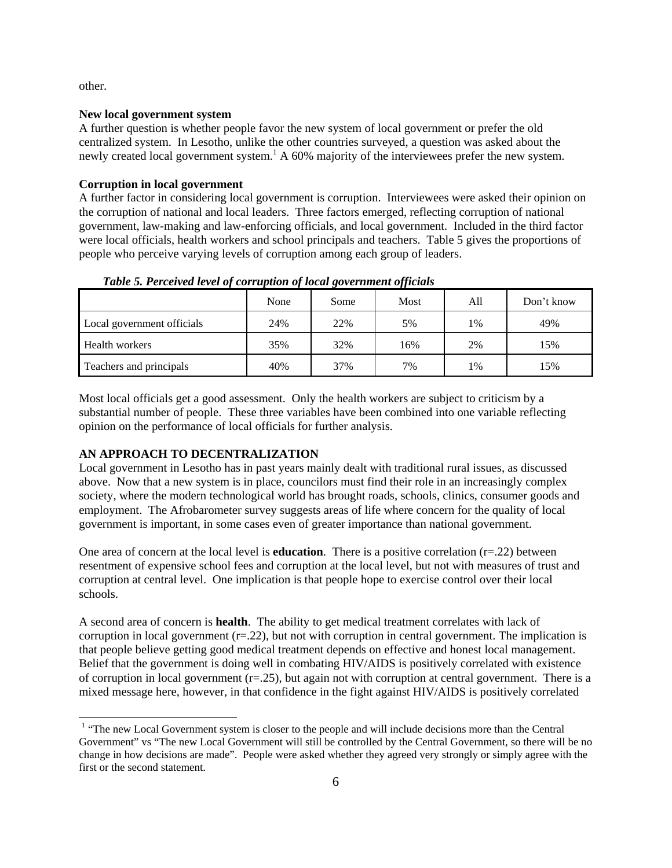other.

 $\overline{a}$ 

### **New local government system**

A further question is whether people favor the new system of local government or prefer the old centralized system. In Lesotho, unlike the other countries surveyed, a question was asked about the newly created local government system.<sup>1</sup> A 60% majority of the interviewees prefer the new system.

### **Corruption in local government**

A further factor in considering local government is corruption. Interviewees were asked their opinion on the corruption of national and local leaders. Three factors emerged, reflecting corruption of national government, law-making and law-enforcing officials, and local government. Included in the third factor were local officials, health workers and school principals and teachers. Table 5 gives the proportions of people who perceive varying levels of corruption among each group of leaders.

|                            | None | Some | Most | All | Don't know |
|----------------------------|------|------|------|-----|------------|
| Local government officials | 24%  | 22%  | 5%   | 1%  | 49%        |
| Health workers             | 35%  | 32%  | 16%  | 2%  | 15%        |
| Teachers and principals    | 40%  | 37%  | 7%   | 1%  | 15%        |

*Table 5. Perceived level of corruption of local government officials* 

Most local officials get a good assessment. Only the health workers are subject to criticism by a substantial number of people. These three variables have been combined into one variable reflecting opinion on the performance of local officials for further analysis.

## **AN APPROACH TO DECENTRALIZATION**

Local government in Lesotho has in past years mainly dealt with traditional rural issues, as discussed above. Now that a new system is in place, councilors must find their role in an increasingly complex society, where the modern technological world has brought roads, schools, clinics, consumer goods and employment. The Afrobarometer survey suggests areas of life where concern for the quality of local government is important, in some cases even of greater importance than national government.

One area of concern at the local level is **education**. There is a positive correlation  $(r=22)$  between resentment of expensive school fees and corruption at the local level, but not with measures of trust and corruption at central level. One implication is that people hope to exercise control over their local schools.

A second area of concern is **health**. The ability to get medical treatment correlates with lack of corruption in local government  $(r=0.22)$ , but not with corruption in central government. The implication is that people believe getting good medical treatment depends on effective and honest local management. Belief that the government is doing well in combating HIV/AIDS is positively correlated with existence of corruption in local government  $(r=25)$ , but again not with corruption at central government. There is a mixed message here, however, in that confidence in the fight against HIV/AIDS is positively correlated

<sup>&</sup>lt;sup>1</sup> "The new Local Government system is closer to the people and will include decisions more than the Central Government" vs "The new Local Government will still be controlled by the Central Government, so there will be no change in how decisions are made". People were asked whether they agreed very strongly or simply agree with the first or the second statement.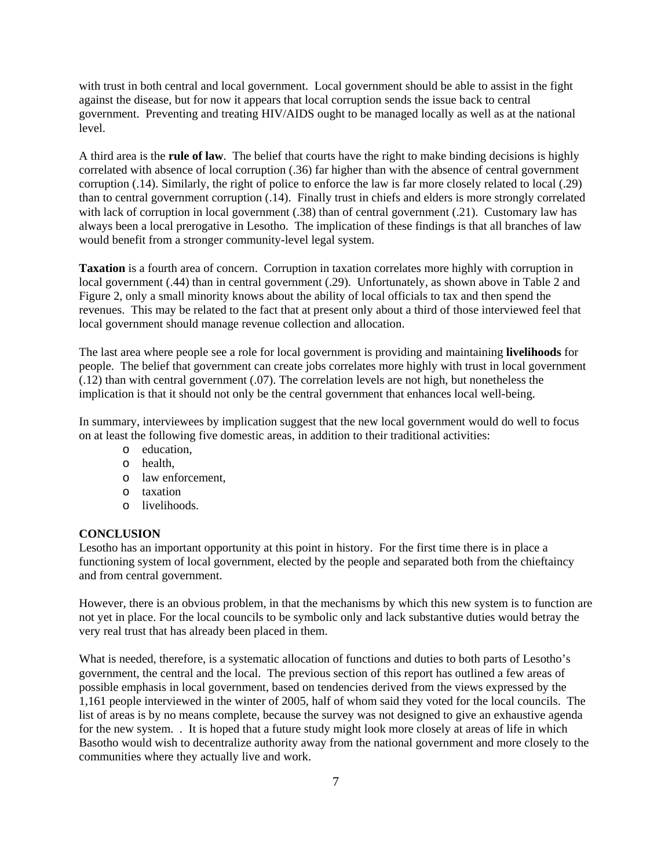with trust in both central and local government. Local government should be able to assist in the fight against the disease, but for now it appears that local corruption sends the issue back to central government. Preventing and treating HIV/AIDS ought to be managed locally as well as at the national level.

A third area is the **rule of law**. The belief that courts have the right to make binding decisions is highly correlated with absence of local corruption (.36) far higher than with the absence of central government corruption (.14). Similarly, the right of police to enforce the law is far more closely related to local (.29) than to central government corruption (.14). Finally trust in chiefs and elders is more strongly correlated with lack of corruption in local government (.38) than of central government (.21). Customary law has always been a local prerogative in Lesotho. The implication of these findings is that all branches of law would benefit from a stronger community-level legal system.

**Taxation** is a fourth area of concern. Corruption in taxation correlates more highly with corruption in local government (.44) than in central government (.29). Unfortunately, as shown above in Table 2 and Figure 2, only a small minority knows about the ability of local officials to tax and then spend the revenues. This may be related to the fact that at present only about a third of those interviewed feel that local government should manage revenue collection and allocation.

The last area where people see a role for local government is providing and maintaining **livelihoods** for people. The belief that government can create jobs correlates more highly with trust in local government (.12) than with central government (.07). The correlation levels are not high, but nonetheless the implication is that it should not only be the central government that enhances local well-being.

In summary, interviewees by implication suggest that the new local government would do well to focus on at least the following five domestic areas, in addition to their traditional activities:

- o education,
- o health,
- o law enforcement,
- o taxation
- o livelihoods.

### **CONCLUSION**

Lesotho has an important opportunity at this point in history. For the first time there is in place a functioning system of local government, elected by the people and separated both from the chieftaincy and from central government.

However, there is an obvious problem, in that the mechanisms by which this new system is to function are not yet in place. For the local councils to be symbolic only and lack substantive duties would betray the very real trust that has already been placed in them.

What is needed, therefore, is a systematic allocation of functions and duties to both parts of Lesotho's government, the central and the local. The previous section of this report has outlined a few areas of possible emphasis in local government, based on tendencies derived from the views expressed by the 1,161 people interviewed in the winter of 2005, half of whom said they voted for the local councils. The list of areas is by no means complete, because the survey was not designed to give an exhaustive agenda for the new system. . It is hoped that a future study might look more closely at areas of life in which Basotho would wish to decentralize authority away from the national government and more closely to the communities where they actually live and work.